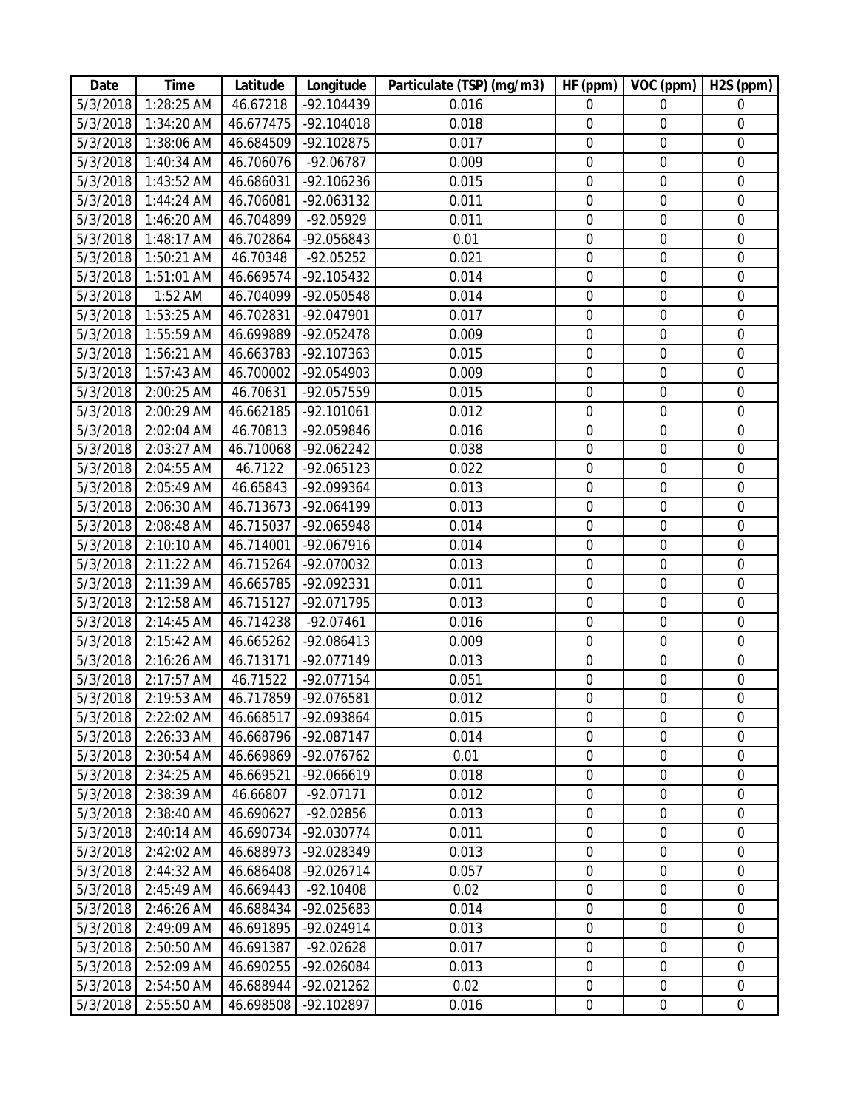| Date                 | <b>Time</b>              | Latitude               | Longitude                   | Particulate (TSP) (mg/m3) | HF (ppm)                        | VOC (ppm)                            | H2S (ppm)                            |
|----------------------|--------------------------|------------------------|-----------------------------|---------------------------|---------------------------------|--------------------------------------|--------------------------------------|
| $\frac{1}{5}/3/2018$ | 1:28:25 AM               | 46.67218               | $-92.104439$                | 0.016                     | $\Omega$                        | $\Omega$                             | $\overline{0}$                       |
| 5/3/2018             | 1:34:20 AM               | 46.677475              | $-92.104018$                | 0.018                     | $\mathbf 0$                     | $\boldsymbol{0}$                     | $\overline{0}$                       |
| 5/3/2018             | 1:38:06 AM               | 46.684509              | -92.102875                  | 0.017                     | $\mathbf 0$                     | $\boldsymbol{0}$                     | $\mathbf 0$                          |
| 5/3/2018             | 1:40:34 AM               | 46.706076              | $-92.06787$                 | 0.009                     | $\mathbf 0$                     | $\mathbf 0$                          | $\mathbf 0$                          |
| 5/3/2018             | 1:43:52 AM               | 46.686031              | $-92.106236$                | 0.015                     | $\mathbf 0$                     | 0                                    | $\mathbf 0$                          |
| 5/3/2018             | 1:44:24 AM               | 46.706081              | -92.063132                  | 0.011                     | $\boldsymbol{0}$                | $\mathbf 0$                          | $\boldsymbol{0}$                     |
| 5/3/2018             | 1:46:20 AM               | 46.704899              | -92.05929                   | 0.011                     | $\boldsymbol{0}$                | $\boldsymbol{0}$                     | $\mathbf 0$                          |
| 5/3/2018             | 1:48:17 AM               | 46.702864              | -92.056843                  | 0.01                      | $\mathbf 0$                     | $\mathbf 0$                          | $\mathbf 0$                          |
| 5/3/2018             | 1:50:21 AM               | 46.70348               | $-92.05252$                 | 0.021                     | $\mathbf 0$                     | $\mathbf 0$                          | $\mathbf 0$                          |
| 5/3/2018             | 1:51:01 AM               | 46.669574              | -92.105432                  | 0.014                     | $\boldsymbol{0}$                | $\boldsymbol{0}$                     | $\boldsymbol{0}$                     |
| 5/3/2018             | 1:52 AM                  | 46.704099              | -92.050548                  | 0.014                     | $\mathbf 0$                     | $\mathbf 0$                          | $\overline{0}$                       |
| 5/3/2018             | 1:53:25 AM               | 46.702831              | -92.047901                  | 0.017                     | $\mathbf 0$                     | $\mathbf 0$                          | $\mathbf 0$                          |
| 5/3/2018             | 1:55:59 AM               |                        | 46.699889 -92.052478        | 0.009                     | $\mathbf 0$                     | $\boldsymbol{0}$                     | $\boldsymbol{0}$                     |
| 5/3/2018             | 1:56:21 AM               | 46.663783              | -92.107363                  | 0.015                     | $\boldsymbol{0}$                | $\boldsymbol{0}$                     | $\overline{0}$                       |
| 5/3/2018             | 1:57:43 AM               | 46.700002              | -92.054903                  | 0.009                     | $\mathbf 0$                     | $\mathbf 0$                          | $\mathbf 0$                          |
| 5/3/2018             | 2:00:25 AM               | 46.70631               | -92.057559                  | 0.015                     | $\mathbf 0$                     | $\mathbf 0$                          | $\mathbf 0$                          |
| 5/3/2018             | 2:00:29 AM               | 46.662185              | $-92.101061$                | 0.012                     | $\mathbf 0$                     | $\boldsymbol{0}$                     | $\mathbf 0$                          |
| 5/3/2018             | 2:02:04 AM               | 46.70813               | -92.059846                  | 0.016                     | $\boldsymbol{0}$                | $\boldsymbol{0}$                     | $\overline{0}$                       |
| 5/3/2018             | 2:03:27 AM               | 46.710068              | $-92.062242$                | 0.038                     | $\overline{0}$                  | $\overline{0}$                       | $\overline{0}$                       |
| 5/3/2018             | 2:04:55 AM               | 46.7122                | -92.065123                  | 0.022                     | $\mathbf 0$                     | $\boldsymbol{0}$                     | $\boldsymbol{0}$                     |
| 5/3/2018             | 2:05:49 AM               | 46.65843               | -92.099364                  | 0.013                     | $\mathbf 0$                     | $\mathbf 0$                          | $\mathbf 0$                          |
| 5/3/2018             | 2:06:30 AM               | 46.713673              | $-92.064199$                | 0.013                     | $\mathbf 0$                     | $\mathbf 0$                          | $\mathbf 0$                          |
| 5/3/2018             | 2:08:48 AM               | 46.715037              | -92.065948                  | 0.014                     | $\mathbf 0$                     | $\mathbf 0$                          | $\mathbf 0$                          |
| 5/3/2018             | 2:10:10 AM               | 46.714001              | -92.067916                  | 0.014                     | $\mathbf 0$                     | $\boldsymbol{0}$                     | $\overline{0}$                       |
| 5/3/2018             | 2:11:22 AM               | 46.715264              | -92.070032                  | 0.013                     | $\boldsymbol{0}$                | $\boldsymbol{0}$                     | $\boldsymbol{0}$                     |
| 5/3/2018             | 2:11:39 AM               | 46.665785              | -92.092331                  | 0.011                     | $\mathbf 0$                     | $\mathbf 0$                          | $\overline{0}$                       |
| 5/3/2018             | 2:12:58 AM               | 46.715127              | -92.071795                  | 0.013                     | $\mathbf 0$                     | $\mathbf 0$                          | $\mathbf 0$                          |
| 5/3/2018             | 2:14:45 AM               | 46.714238              | $-92.07461$                 | 0.016                     | $\boldsymbol{0}$                | $\boldsymbol{0}$                     | $\mathbf 0$                          |
| 5/3/2018             | 2:15:42 AM               | 46.665262              | -92.086413                  | 0.009                     | $\boldsymbol{0}$                | $\mathbf 0$                          | $\mathbf 0$                          |
| 5/3/2018             | 2:16:26 AM               | 46.713171              | -92.077149                  | 0.013                     | $\boldsymbol{0}$                | $\boldsymbol{0}$                     | $\mathbf 0$                          |
| 5/3/2018             | 2:17:57 AM               | 46.71522               | -92.077154                  | 0.051                     | $\boldsymbol{0}$                | $\overline{0}$                       | $\boldsymbol{0}$                     |
|                      | 5/3/2018 2:19:53 AM      |                        | 46.717859 -92.076581        | 0.012                     | $\overline{0}$                  | $\overline{0}$                       | $\overline{0}$                       |
| 5/3/2018             | 2:22:02 AM               | 46.668517              | -92.093864                  | 0.015                     | $\overline{0}$                  | $\mathbf 0$                          | $\mathbf 0$                          |
| 5/3/2018             | 2:26:33 AM               | 46.668796              | -92.087147                  | 0.014                     | $\mathbf 0$                     | $\boldsymbol{0}$                     | $\boldsymbol{0}$                     |
| 5/3/2018             | 2:30:54 AM               | 46.669869              | -92.076762                  | 0.01                      | $\mathbf 0$                     | $\mathbf 0$                          | $\mathbf 0$                          |
| 5/3/2018             | 2:34:25 AM               | 46.669521              | -92.066619                  | 0.018                     | $\boldsymbol{0}$                | $\mathbf 0$                          | $\boldsymbol{0}$                     |
| 5/3/2018             | 2:38:39 AM               | 46.66807               | $-92.07171$                 | 0.012                     | $\mathbf 0$                     | $\mathbf 0$                          | $\mathbf 0$                          |
| 5/3/2018             | 2:38:40 AM               | 46.690627              | -92.02856                   | 0.013                     | $\boldsymbol{0}$                | $\boldsymbol{0}$                     | $\boldsymbol{0}$                     |
| 5/3/2018             | 2:40:14 AM               | 46.690734              | -92.030774                  | 0.011                     | $\boldsymbol{0}$                | $\boldsymbol{0}$                     | $\boldsymbol{0}$                     |
| 5/3/2018             | 2:42:02 AM               | 46.688973              | -92.028349                  | 0.013                     | $\boldsymbol{0}$                | $\mathbf 0$                          | $\mathbf 0$                          |
| 5/3/2018<br>5/3/2018 | 2:44:32 AM<br>2:45:49 AM | 46.686408<br>46.669443 | $-92.026714$<br>$-92.10408$ | 0.057<br>0.02             | $\mathbf 0$<br>$\boldsymbol{0}$ | $\boldsymbol{0}$<br>$\boldsymbol{0}$ | $\boldsymbol{0}$<br>$\boldsymbol{0}$ |
|                      |                          |                        |                             |                           |                                 | $\mathbf 0$                          | $\mathbf 0$                          |
| 5/3/2018<br>5/3/2018 | 2:46:26 AM<br>2:49:09 AM | 46.688434              | -92.025683                  | 0.014                     | $\boldsymbol{0}$<br>$\mathbf 0$ | $\mathbf 0$                          |                                      |
| 5/3/2018             | 2:50:50 AM               | 46.691895<br>46.691387 | $-92.024914$<br>$-92.02628$ | 0.013<br>0.017            | $\boldsymbol{0}$                | $\boldsymbol{0}$                     | 0<br>$\boldsymbol{0}$                |
| 5/3/2018             | 2:52:09 AM               | 46.690255              | -92.026084                  | 0.013                     | $\boldsymbol{0}$                | $\boldsymbol{0}$                     | $\mathbf 0$                          |
| 5/3/2018             | 2:54:50 AM               | 46.688944              | -92.021262                  | 0.02                      | $\mathbf 0$                     | $\mathbf 0$                          | $\mathbf 0$                          |
| 5/3/2018             | 2:55:50 AM               | 46.698508              | -92.102897                  | 0.016                     | $\overline{0}$                  | $\boldsymbol{0}$                     | $\overline{0}$                       |
|                      |                          |                        |                             |                           |                                 |                                      |                                      |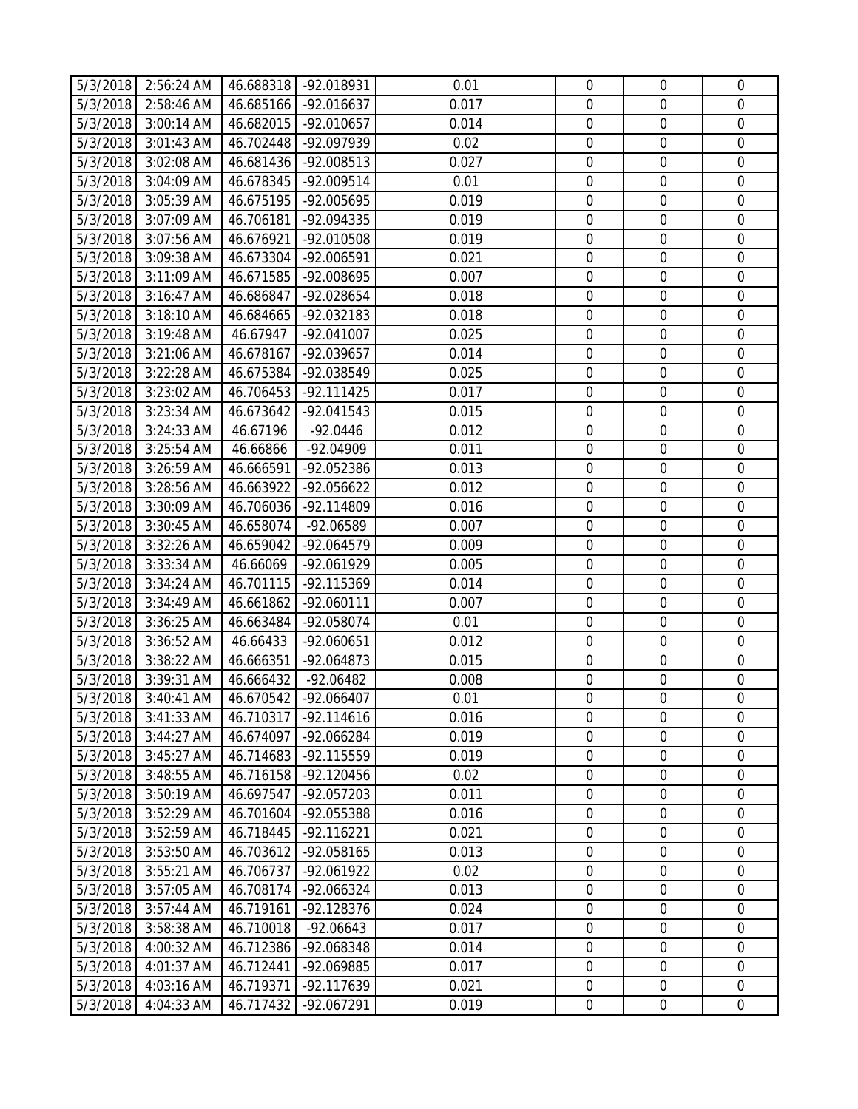|                      | 5/3/2018 2:56:24 AM                      |                        | 46.688318 -92.018931       | 0.01          | $\mathbf 0$                     | $\overline{0}$                  | $\overline{0}$             |
|----------------------|------------------------------------------|------------------------|----------------------------|---------------|---------------------------------|---------------------------------|----------------------------|
| 5/3/2018             | 2:58:46 AM                               | 46.685166              | -92.016637                 | 0.017         | $\overline{0}$                  | $\overline{0}$                  | $\mathbf{0}$               |
| 5/3/2018             | 3:00:14 AM                               | 46.682015              | -92.010657                 | 0.014         | $\overline{0}$                  | $\overline{0}$                  | $\mathbf 0$                |
| 5/3/2018             | 3:01:43 AM                               | 46.702448              | -92.097939                 | 0.02          | $\boldsymbol{0}$                | $\boldsymbol{0}$                | $\mathbf 0$                |
| 5/3/2018             | 3:02:08 AM                               | 46.681436              | -92.008513                 | 0.027         | $\mathbf 0$                     | $\mathbf 0$                     | $\mathbf 0$                |
| 5/3/2018             | 3:04:09 AM                               | 46.678345              | -92.009514                 | 0.01          | $\mathbf 0$                     | $\mathbf 0$                     | $\mathbf 0$                |
| 5/3/2018             | 3:05:39 AM                               | 46.675195              | -92.005695                 | 0.019         | $\mathbf 0$                     | $\boldsymbol{0}$                | $\mathbf 0$                |
| 5/3/2018             | 3:07:09 AM                               | 46.706181              | -92.094335                 | 0.019         | $\mathbf 0$                     | $\mathbf 0$                     | $\mathbf 0$                |
| 5/3/2018             | 3:07:56 AM                               | 46.676921              | -92.010508                 | 0.019         | $\mathbf 0$                     | $\mathbf 0$                     | $\mathbf 0$                |
| 5/3/2018             | 3:09:38 AM                               | 46.673304              | -92.006591                 | 0.021         | $\overline{0}$                  | $\overline{0}$                  | $\mathbf 0$                |
| 5/3/2018             | 3:11:09 AM                               | 46.671585              | -92.008695                 | 0.007         | $\mathbf 0$                     | $\boldsymbol{0}$                | $\mathbf 0$                |
| 5/3/2018             | 3:16:47 AM                               | 46.686847              | -92.028654                 | 0.018         | $\mathbf 0$                     | $\boldsymbol{0}$                | $\mathbf 0$                |
| 5/3/2018             | 3:18:10 AM                               | 46.684665              | -92.032183                 | 0.018         | $\mathbf 0$                     | $\mathbf 0$                     | $\mathbf 0$                |
| 5/3/2018             | 3:19:48 AM                               | 46.67947               | -92.041007                 | 0.025         | $\mathbf 0$                     | $\mathbf 0$                     | $\mathbf 0$                |
| 5/3/2018             | $3:21:06$ AM                             | 46.678167              | -92.039657                 | 0.014         | $\mathbf 0$                     | $\mathbf 0$                     | $\mathbf 0$                |
| 5/3/2018             | 3:22:28 AM                               | 46.675384              | -92.038549                 | 0.025         | $\mathbf 0$                     | $\mathbf 0$                     | $\mathbf 0$                |
| 5/3/2018             | 3:23:02 AM                               | 46.706453              | $-92.111425$               | 0.017         | $\mathbf 0$                     | $\boldsymbol{0}$                | $\mathbf 0$                |
| 5/3/2018             | 3:23:34 AM                               | 46.673642              | $-92.041543$               | 0.015         | $\mathbf 0$                     | $\mathbf 0$                     | $\mathbf 0$                |
| 5/3/2018             | 3:24:33 AM                               | 46.67196               | $-92.0446$                 | 0.012         | $\mathbf 0$                     | $\mathbf 0$                     | $\mathbf 0$                |
| 5/3/2018             | 3:25:54 AM                               | 46.66866               | $-92.04909$                | 0.011         | $\mathbf 0$                     | $\mathbf 0$                     | $\mathbf 0$                |
| 5/3/2018             | 3:26:59 AM                               | 46.666591              | -92.052386                 | 0.013         | $\mathbf 0$                     | $\boldsymbol{0}$                | $\boldsymbol{0}$           |
| 5/3/2018             | 3:28:56 AM                               | 46.663922              | -92.056622                 | 0.012         | $\mathbf 0$                     | $\mathbf 0$                     | $\mathbf 0$                |
| 5/3/2018             | 3:30:09 AM                               | 46.706036              | -92.114809                 | 0.016         | $\mathbf 0$                     | $\mathbf 0$                     | $\mathbf 0$                |
| 5/3/2018             | 3:30:45 AM                               | 46.658074              | -92.06589                  | 0.007         | $\mathbf 0$                     | $\overline{0}$                  | $\mathbf 0$                |
| 5/3/2018             | 3:32:26 AM                               | 46.659042              | -92.064579                 | 0.009         | $\mathbf 0$                     | $\boldsymbol{0}$                | $\mathbf 0$                |
| 5/3/2018             | 3:33:34 AM                               | 46.66069               | -92.061929                 | 0.005         | $\mathbf 0$                     | $\boldsymbol{0}$                | $\mathbf 0$                |
| 5/3/2018             | 3:34:24 AM                               | 46.701115              | -92.115369                 | 0.014         | $\mathbf 0$                     | $\mathbf 0$                     | $\mathbf 0$                |
| 5/3/2018             | 3:34:49 AM                               | 46.661862              | $-92.060111$               | 0.007         | $\mathbf 0$                     | $\boldsymbol{0}$                | $\boldsymbol{0}$           |
| 5/3/2018             | 3:36:25 AM                               | 46.663484              | -92.058074                 | 0.01          | $\mathbf 0$                     | $\mathbf 0$                     | $\mathbf 0$                |
| 5/3/2018             | 3:36:52 AM                               | 46.66433               | -92.060651                 | 0.012         | $\mathbf 0$                     | $\overline{0}$                  | $\mathbf 0$                |
| 5/3/2018             | 3:38:22 AM                               | 46.666351              | -92.064873                 | 0.015         | $\mathbf 0$                     | $\mathbf 0$                     | $\mathbf 0$                |
| 5/3/2018             | 3:39:31 AM                               | 46.666432              | $-92.06482$                | 0.008         | $\mathbf 0$                     | $\mathbf 0$                     | $\mathbf 0$                |
|                      | 5/3/2018 3:40:41 AM 46.670542 -92.066407 |                        |                            | 0.01          | $\overline{0}$                  | $\overline{0}$                  | $\overline{0}$             |
| 5/3/2018             | 3:41:33 AM                               | 46.710317              | $-92.114616$               | 0.016         | $\overline{0}$                  | $\overline{0}$                  | $\overline{0}$             |
| 5/3/2018             | 3:44:27 AM                               | 46.674097              | -92.066284                 | 0.019         | $\boldsymbol{0}$                | $\boldsymbol{0}$                | $\mathbf 0$                |
| 5/3/2018             | 3:45:27 AM<br>3:48:55 AM                 | 46.714683<br>46.716158 | -92.115559<br>$-92.120456$ | 0.019<br>0.02 | $\boldsymbol{0}$<br>$\mathbf 0$ | $\boldsymbol{0}$<br>$\mathbf 0$ | $\mathbf 0$<br>$\mathbf 0$ |
| 5/3/2018<br>5/3/2018 | 3:50:19 AM                               | 46.697547              | -92.057203                 | 0.011         | $\mathbf 0$                     | $\mathbf 0$                     | $\mathbf 0$                |
| 5/3/2018             | 3:52:29 AM                               | 46.701604              | -92.055388                 | 0.016         | $\mathbf 0$                     | $\boldsymbol{0}$                | $\mathbf 0$                |
| 5/3/2018             | 3:52:59 AM                               | 46.718445              | $-92.116221$               | 0.021         | $\mathbf 0$                     | $\mathbf 0$                     | $\mathbf 0$                |
| 5/3/2018             | 3:53:50 AM                               | 46.703612              | -92.058165                 | 0.013         | $\mathbf 0$                     | $\mathbf 0$                     | $\mathbf 0$                |
| 5/3/2018             | 3:55:21 AM                               | 46.706737              | -92.061922                 | 0.02          | $\mathbf 0$                     | $\boldsymbol{0}$                | $\mathbf 0$                |
| 5/3/2018             | 3:57:05 AM                               | 46.708174              | -92.066324                 | 0.013         | $\mathbf 0$                     | $\boldsymbol{0}$                | $\mathbf 0$                |
| 5/3/2018             | 3:57:44 AM                               | 46.719161              | $-92.128376$               | 0.024         | $\mathbf 0$                     | $\boldsymbol{0}$                | $\mathbf 0$                |
| 5/3/2018             | 3:58:38 AM                               | 46.710018              | $-92.06643$                | 0.017         | $\mathbf 0$                     | $\mathbf 0$                     | $\mathbf 0$                |
| 5/3/2018             | 4:00:32 AM                               | 46.712386              | -92.068348                 | 0.014         | $\mathbf 0$                     | $\boldsymbol{0}$                | $\mathbf 0$                |
| 5/3/2018             | 4:01:37 AM                               | 46.712441              | -92.069885                 | 0.017         | $\mathbf 0$                     | $\mathbf 0$                     | $\mathbf 0$                |
| 5/3/2018             | 4:03:16 AM                               | 46.719371              | -92.117639                 | 0.021         | $\mathbf 0$                     | $\boldsymbol{0}$                | $\mathbf 0$                |
| 5/3/2018             | 4:04:33 AM                               | 46.717432              | -92.067291                 | 0.019         | $\overline{0}$                  | $\overline{0}$                  | $\overline{0}$             |
|                      |                                          |                        |                            |               |                                 |                                 |                            |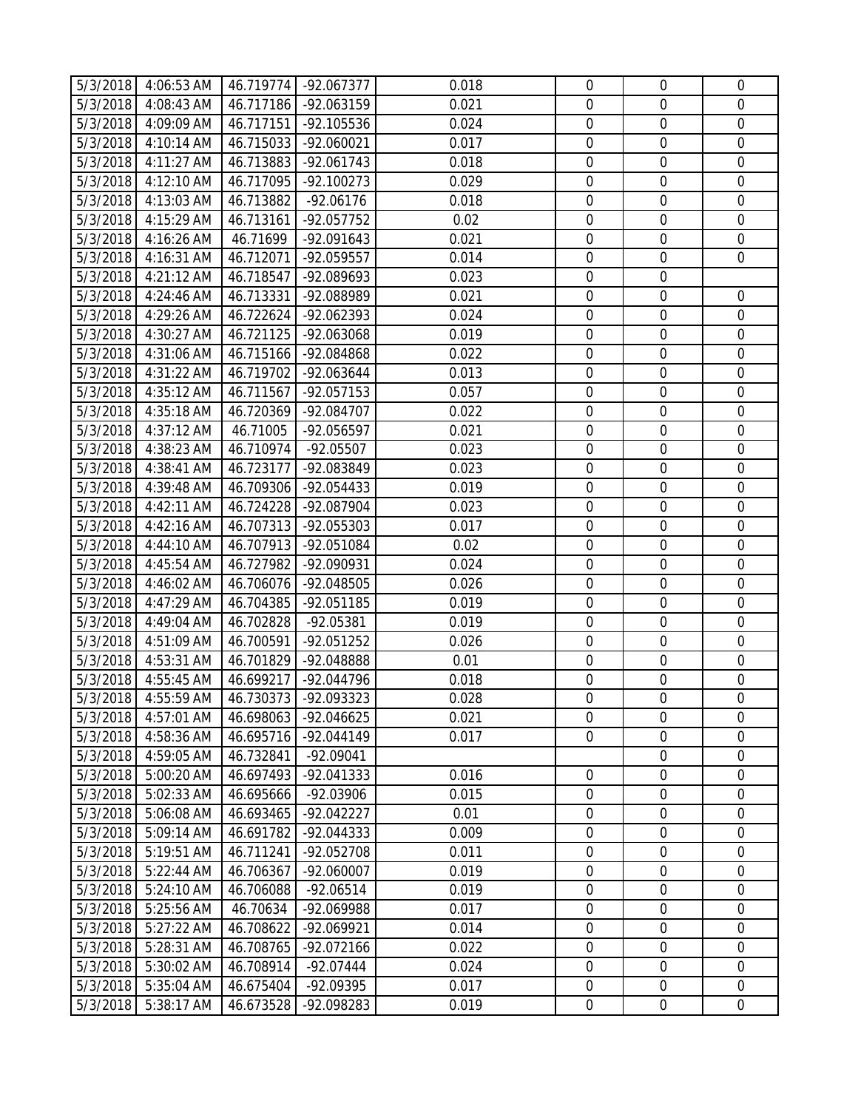|          | 5/3/2018 4:06:53 AM                      |           | 46.719774 -92.067377 | 0.018 | $\mathbf 0$      | $\overline{0}$   | $\mathbf 0$      |
|----------|------------------------------------------|-----------|----------------------|-------|------------------|------------------|------------------|
| 5/3/2018 | 4:08:43 AM                               | 46.717186 | -92.063159           | 0.021 | $\overline{0}$   | $\overline{0}$   | $\overline{0}$   |
| 5/3/2018 | 4:09:09 AM                               | 46.717151 | -92.105536           | 0.024 | $\mathbf 0$      | $\boldsymbol{0}$ | $\mathbf 0$      |
| 5/3/2018 | 4:10:14 AM                               | 46.715033 | $-92.060021$         | 0.017 | $\mathbf 0$      | $\boldsymbol{0}$ | $\mathbf 0$      |
| 5/3/2018 | 4:11:27 AM                               | 46.713883 | $-92.061743$         | 0.018 | $\overline{0}$   | $\mathbf 0$      | $\mathbf 0$      |
| 5/3/2018 | 4:12:10 AM                               | 46.717095 | $-92.100273$         | 0.029 | $\mathbf 0$      | $\mathbf 0$      | $\mathbf 0$      |
| 5/3/2018 | 4:13:03 AM                               | 46.713882 | $-92.06176$          | 0.018 | $\mathbf 0$      | $\boldsymbol{0}$ | $\mathbf 0$      |
| 5/3/2018 | 4:15:29 AM                               | 46.713161 | -92.057752           | 0.02  | $\mathbf 0$      | $\mathbf 0$      | $\mathbf 0$      |
| 5/3/2018 | 4:16:26 AM                               | 46.71699  | -92.091643           | 0.021 | $\mathbf 0$      | $\mathbf 0$      | $\overline{0}$   |
| 5/3/2018 | 4:16:31 AM                               | 46.712071 | -92.059557           | 0.014 | $\mathbf 0$      | $\boldsymbol{0}$ | $\mathbf 0$      |
| 5/3/2018 | 4:21:12 AM                               | 46.718547 | -92.089693           | 0.023 | $\mathbf 0$      | $\boldsymbol{0}$ |                  |
| 5/3/2018 | 4:24:46 AM                               | 46.713331 | -92.088989           | 0.021 | $\overline{0}$   | $\mathbf 0$      | $\mathbf 0$      |
| 5/3/2018 | 4:29:26 AM                               | 46.722624 | -92.062393           | 0.024 | $\mathbf 0$      | $\mathbf 0$      | $\mathbf 0$      |
| 5/3/2018 | 4:30:27 AM                               | 46.721125 | -92.063068           | 0.019 | $\mathbf 0$      | $\mathbf 0$      | $\mathbf 0$      |
| 5/3/2018 | 4:31:06 AM                               | 46.715166 | -92.084868           | 0.022 | $\overline{0}$   | $\mathbf 0$      | $\mathbf 0$      |
| 5/3/2018 | 4:31:22 AM                               | 46.719702 | -92.063644           | 0.013 | $\overline{0}$   | $\mathbf 0$      | $\overline{0}$   |
| 5/3/2018 | 4:35:12 AM                               | 46.711567 | -92.057153           | 0.057 | $\overline{0}$   | $\boldsymbol{0}$ | $\mathbf 0$      |
| 5/3/2018 | 4:35:18 AM                               | 46.720369 | -92.084707           | 0.022 | $\mathbf 0$      | $\boldsymbol{0}$ | $\mathbf 0$      |
| 5/3/2018 | 4:37:12 AM                               | 46.71005  | -92.056597           | 0.021 | $\mathbf 0$      | $\mathbf 0$      | $\mathbf 0$      |
| 5/3/2018 | 4:38:23 AM                               | 46.710974 | $-92.05507$          | 0.023 | $\mathbf 0$      | $\mathbf 0$      | $\mathbf 0$      |
| 5/3/2018 | 4:38:41 AM                               | 46.723177 | -92.083849           | 0.023 | $\mathbf 0$      | $\mathbf 0$      | $\mathbf 0$      |
| 5/3/2018 | 4:39:48 AM                               | 46.709306 | -92.054433           | 0.019 | $\mathbf 0$      | $\mathbf 0$      | $\mathbf 0$      |
| 5/3/2018 | 4:42:11 AM                               | 46.724228 | -92.087904           | 0.023 | $\mathbf 0$      | $\mathbf 0$      | $\mathbf 0$      |
| 5/3/2018 | 4:42:16 AM                               | 46.707313 | -92.055303           | 0.017 | $\mathbf 0$      | $\overline{0}$   | $\mathbf 0$      |
| 5/3/2018 | 4:44:10 AM                               | 46.707913 | -92.051084           | 0.02  | $\mathbf 0$      | $\boldsymbol{0}$ | $\mathbf 0$      |
| 5/3/2018 | 4:45:54 AM                               | 46.727982 | -92.090931           | 0.024 | $\mathbf 0$      | $\boldsymbol{0}$ | $\mathbf 0$      |
| 5/3/2018 | 4:46:02 AM                               | 46.706076 | -92.048505           | 0.026 | $\mathbf 0$      | $\mathbf 0$      | $\mathbf 0$      |
| 5/3/2018 | 4:47:29 AM                               | 46.704385 | -92.051185           | 0.019 | $\mathbf 0$      | $\mathbf 0$      | $\mathbf 0$      |
| 5/3/2018 | 4:49:04 AM                               | 46.702828 | -92.05381            | 0.019 | $\mathbf 0$      | $\mathbf 0$      | $\mathbf 0$      |
| 5/3/2018 | 4:51:09 AM                               | 46.700591 | -92.051252           | 0.026 | $\mathbf 0$      | $\mathbf 0$      | $\mathbf 0$      |
| 5/3/2018 | 4:53:31 AM                               | 46.701829 | -92.048888           | 0.01  | $\mathbf 0$      | $\overline{0}$   | $\mathbf 0$      |
| 5/3/2018 | 4:55:45 AM                               | 46.699217 | -92.044796           | 0.018 | $\mathbf 0$      | $\mathbf 0$      | $\mathbf 0$      |
|          | 5/3/2018 4:55:59 AM 46.730373 -92.093323 |           |                      | 0.028 | $\mathbf 0$      | $\mathbf 0$      | $\overline{0}$   |
| 5/3/2018 | 4:57:01 AM                               | 46.698063 | -92.046625           | 0.021 | $\overline{0}$   | $\overline{0}$   | $\overline{0}$   |
| 5/3/2018 | 4:58:36 AM                               | 46.695716 | $-92.044149$         | 0.017 | $\mathbf 0$      | $\boldsymbol{0}$ | $\boldsymbol{0}$ |
| 5/3/2018 | 4:59:05 AM                               | 46.732841 | $-92.09041$          |       |                  | $\mathbf 0$      | $\mathbf 0$      |
| 5/3/2018 | 5:00:20 AM                               | 46.697493 | -92.041333           | 0.016 | $\mathbf 0$      | $\mathbf 0$      | $\overline{0}$   |
| 5/3/2018 | 5:02:33 AM                               | 46.695666 | -92.03906            | 0.015 | $\mathbf 0$      | $\mathbf 0$      | $\mathbf 0$      |
| 5/3/2018 | 5:06:08 AM                               | 46.693465 | $-92.042227$         | 0.01  | $\boldsymbol{0}$ | $\boldsymbol{0}$ | $\mathbf 0$      |
| 5/3/2018 | 5:09:14 AM                               | 46.691782 | $-92.044333$         | 0.009 | $\mathbf 0$      | $\boldsymbol{0}$ | $\mathbf 0$      |
| 5/3/2018 | 5:19:51 AM                               | 46.711241 | -92.052708           | 0.011 | $\mathbf 0$      | $\mathbf 0$      | $\mathbf 0$      |
| 5/3/2018 | 5:22:44 AM                               | 46.706367 | -92.060007           | 0.019 | $\mathbf 0$      | $\boldsymbol{0}$ | $\boldsymbol{0}$ |
| 5/3/2018 | 5:24:10 AM                               | 46.706088 | $-92.06514$          | 0.019 | $\mathbf 0$      | $\mathbf 0$      | $\mathbf 0$      |
| 5/3/2018 | 5:25:56 AM                               | 46.70634  | $-92.069988$         | 0.017 | $\overline{0}$   | $\mathbf 0$      | $\overline{0}$   |
| 5/3/2018 | 5:27:22 AM                               | 46.708622 | -92.069921           | 0.014 | $\mathbf 0$      | $\mathbf 0$      | $\mathbf 0$      |
| 5/3/2018 | 5:28:31 AM                               | 46.708765 | -92.072166           | 0.022 | $\mathbf 0$      | $\boldsymbol{0}$ | $\mathbf 0$      |
| 5/3/2018 | 5:30:02 AM                               | 46.708914 | $-92.07444$          | 0.024 | $\mathbf 0$      | $\boldsymbol{0}$ | $\mathbf 0$      |
| 5/3/2018 | 5:35:04 AM                               | 46.675404 | -92.09395            | 0.017 | $\mathbf 0$      | $\mathbf 0$      | $\overline{0}$   |
| 5/3/2018 | 5:38:17 AM                               | 46.673528 | -92.098283           | 0.019 | $\boldsymbol{0}$ | $\overline{0}$   | $\boldsymbol{0}$ |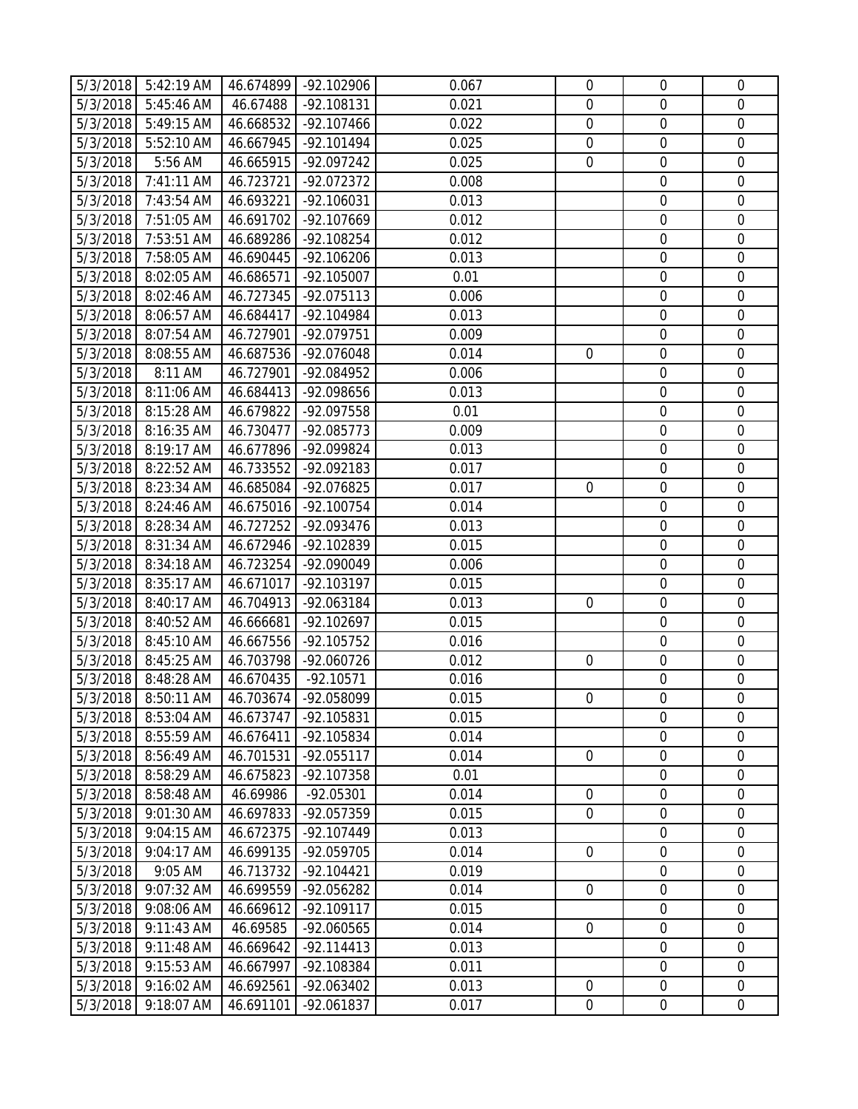|                      | 5/3/2018 5:42:19 AM                        |                        | 46.674899 -92.102906       | 0.067          | $\mathbf 0$    | $\overline{0}$                       | $\mathbf 0$                |
|----------------------|--------------------------------------------|------------------------|----------------------------|----------------|----------------|--------------------------------------|----------------------------|
| 5/3/2018             | 5:45:46 AM                                 | 46.67488               | $-92.108131$               | 0.021          | $\overline{0}$ | $\overline{0}$                       | $\mathbf 0$                |
| 5/3/2018             | 5:49:15 AM                                 | 46.668532              | $-92.107466$               | 0.022          | $\overline{0}$ | $\overline{0}$                       | $\mathbf 0$                |
| 5/3/2018             | 5:52:10 AM                                 | 46.667945              | -92.101494                 | 0.025          | $\mathbf 0$    | $\boldsymbol{0}$                     | $\mathbf 0$                |
| 5/3/2018             | 5:56 AM                                    | 46.665915              | -92.097242                 | 0.025          | $\mathbf 0$    | $\mathbf 0$                          | $\mathbf 0$                |
| 5/3/2018             | 7:41:11 AM                                 | 46.723721              | -92.072372                 | 0.008          |                | $\mathbf 0$                          | $\mathbf 0$                |
| 5/3/2018             | 7:43:54 AM                                 | 46.693221              | $-92.106031$               | 0.013          |                | $\boldsymbol{0}$                     | $\mathbf 0$                |
| 5/3/2018             | 7:51:05 AM                                 | 46.691702              | -92.107669                 | 0.012          |                | $\mathbf 0$                          | $\mathbf 0$                |
| 5/3/2018             | 7:53:51 AM                                 | 46.689286              | -92.108254                 | 0.012          |                | $\mathbf 0$                          | $\mathbf 0$                |
| 5/3/2018             | 7:58:05 AM                                 | 46.690445              | $-92.106206$               | 0.013          |                | $\overline{0}$                       | $\mathbf 0$                |
| 5/3/2018             | 8:02:05 AM                                 | 46.686571              | $-92.105007$               | 0.01           |                | $\boldsymbol{0}$                     | $\mathbf 0$                |
| 5/3/2018             | 8:02:46 AM                                 | 46.727345              | -92.075113                 | 0.006          |                | $\boldsymbol{0}$                     | $\mathbf 0$                |
| 5/3/2018             | 8:06:57 AM                                 | 46.684417              | -92.104984                 | 0.013          |                | $\mathbf 0$                          | $\mathbf 0$                |
| 5/3/2018             | 8:07:54 AM                                 | 46.727901              | -92.079751                 | 0.009          |                | $\mathbf 0$                          | $\mathbf 0$                |
| 5/3/2018             | 8:08:55 AM                                 | 46.687536              | -92.076048                 | 0.014          | $\mathbf 0$    | $\mathbf 0$                          | $\mathbf 0$                |
| 5/3/2018             | 8:11 AM                                    | 46.727901              | -92.084952                 | 0.006          |                | $\mathbf 0$                          | $\mathbf 0$                |
| 5/3/2018             | 8:11:06 AM                                 | 46.684413              | -92.098656                 | 0.013          |                | $\boldsymbol{0}$                     | $\mathbf 0$                |
| 5/3/2018             | 8:15:28 AM                                 | 46.679822              | -92.097558                 | 0.01           |                | $\overline{0}$                       | $\mathbf 0$                |
| 5/3/2018             | 8:16:35 AM                                 | 46.730477              | -92.085773                 | 0.009          |                | $\boldsymbol{0}$                     | $\mathbf 0$                |
| 5/3/2018             | 8:19:17 AM                                 | 46.677896              | -92.099824                 | 0.013          |                | $\mathbf 0$                          | $\mathbf 0$                |
| 5/3/2018             | 8:22:52 AM                                 | 46.733552              | -92.092183                 | 0.017          |                | $\boldsymbol{0}$                     | $\boldsymbol{0}$           |
| 5/3/2018             | 8:23:34 AM                                 | 46.685084              | -92.076825                 | 0.017          | $\overline{0}$ | $\mathbf 0$                          | $\mathbf 0$                |
| 5/3/2018             | 8:24:46 AM                                 | 46.675016              | $-92.100754$               | 0.014          |                | $\mathbf 0$                          | $\mathbf 0$                |
| 5/3/2018             | 8:28:34 AM                                 | 46.727252              | -92.093476                 | 0.013          |                | $\overline{0}$                       | $\mathbf 0$                |
| 5/3/2018             | 8:31:34 AM                                 | 46.672946              | -92.102839                 | 0.015          |                | $\boldsymbol{0}$                     | $\mathbf 0$                |
| 5/3/2018             | 8:34:18 AM                                 | 46.723254              | -92.090049                 | 0.006          |                | $\overline{0}$                       | $\mathbf 0$                |
| 5/3/2018             | 8:35:17 AM                                 | 46.671017              | -92.103197                 | 0.015          |                | $\mathbf 0$                          | $\mathbf 0$                |
| 5/3/2018             | 8:40:17 AM                                 | 46.704913              | -92.063184                 | 0.013          | $\overline{0}$ | $\boldsymbol{0}$                     | $\boldsymbol{0}$           |
| 5/3/2018             | 8:40:52 AM                                 | 46.666681              | -92.102697                 | 0.015          |                | $\mathbf 0$                          | $\mathbf 0$                |
| 5/3/2018             | 8:45:10 AM                                 | 46.667556              | -92.105752                 | 0.016          |                | $\overline{0}$                       | $\mathbf 0$                |
| 5/3/2018             | 8:45:25 AM                                 | 46.703798              | -92.060726                 | 0.012          | $\mathbf 0$    | $\mathbf 0$                          | $\mathbf 0$                |
| 5/3/2018             | 8:48:28 AM                                 | 46.670435              | $-92.10571$                | 0.016          |                | $\mathbf 0$                          | $\mathbf 0$                |
|                      | 5/3/2018 8:50:11 AM   46.703674 -92.058099 |                        |                            | 0.015          | $\overline{0}$ | $\mathbf 0$                          | $\overline{0}$             |
| 5/3/2018             | 8:53:04 AM                                 | 46.673747              | -92.105831                 | 0.015          |                | $\overline{0}$                       | $\overline{0}$             |
| 5/3/2018             | 8:55:59 AM                                 | 46.676411              | -92.105834                 | 0.014          |                | $\boldsymbol{0}$                     | $\mathbf 0$                |
| 5/3/2018             | 8:56:49 AM                                 | 46.701531              | -92.055117                 | 0.014          | $\mathbf 0$    | $\boldsymbol{0}$                     | $\mathbf 0$                |
| 5/3/2018             | 8:58:29 AM                                 | 46.675823              | -92.107358                 | 0.01           |                | $\mathbf 0$                          | $\overline{0}$             |
| 5/3/2018             | 8:58:48 AM                                 | 46.69986               | $-92.05301$                | 0.014          | $\mathbf 0$    | $\mathbf 0$                          | $\mathbf 0$                |
| 5/3/2018             | 9:01:30 AM                                 | 46.697833              | -92.057359                 | 0.015          | $\mathbf 0$    | $\mathbf 0$                          | $\mathbf 0$                |
| 5/3/2018             | 9:04:15 AM                                 | 46.672375              | -92.107449                 | 0.013          |                | $\mathbf 0$<br>$\mathbf 0$           | $\mathbf 0$<br>$\mathbf 0$ |
| 5/3/2018             | 9:04:17 AM                                 | 46.699135              | -92.059705                 | 0.014          | $\mathbf 0$    |                                      | $\mathbf 0$                |
| 5/3/2018<br>5/3/2018 | 9:05 AM<br>9:07:32 AM                      | 46.713732<br>46.699559 | $-92.104421$<br>-92.056282 | 0.019<br>0.014 | $\mathbf 0$    | $\boldsymbol{0}$<br>$\boldsymbol{0}$ | $\mathbf 0$                |
| 5/3/2018             |                                            |                        | $-92.109117$               | 0.015          |                | $\boldsymbol{0}$                     | $\mathbf 0$                |
| 5/3/2018             | 9:08:06 AM<br>9:11:43 AM                   | 46.669612<br>46.69585  | -92.060565                 | 0.014          | $\mathbf 0$    | $\mathbf 0$                          | $\mathbf 0$                |
| 5/3/2018             | 9:11:48 AM                                 | 46.669642              | $-92.114413$               | 0.013          |                | $\boldsymbol{0}$                     | $\mathbf 0$                |
| 5/3/2018             | 9:15:53 AM                                 | 46.667997              | -92.108384                 | 0.011          |                | $\mathbf 0$                          | $\mathbf 0$                |
| 5/3/2018             | 9:16:02 AM                                 | 46.692561              | -92.063402                 | 0.013          | $\mathbf 0$    | $\boldsymbol{0}$                     | $\mathbf 0$                |
| 5/3/2018             | 9:18:07 AM                                 | 46.691101              | -92.061837                 | 0.017          | $\overline{0}$ | $\overline{0}$                       | $\overline{0}$             |
|                      |                                            |                        |                            |                |                |                                      |                            |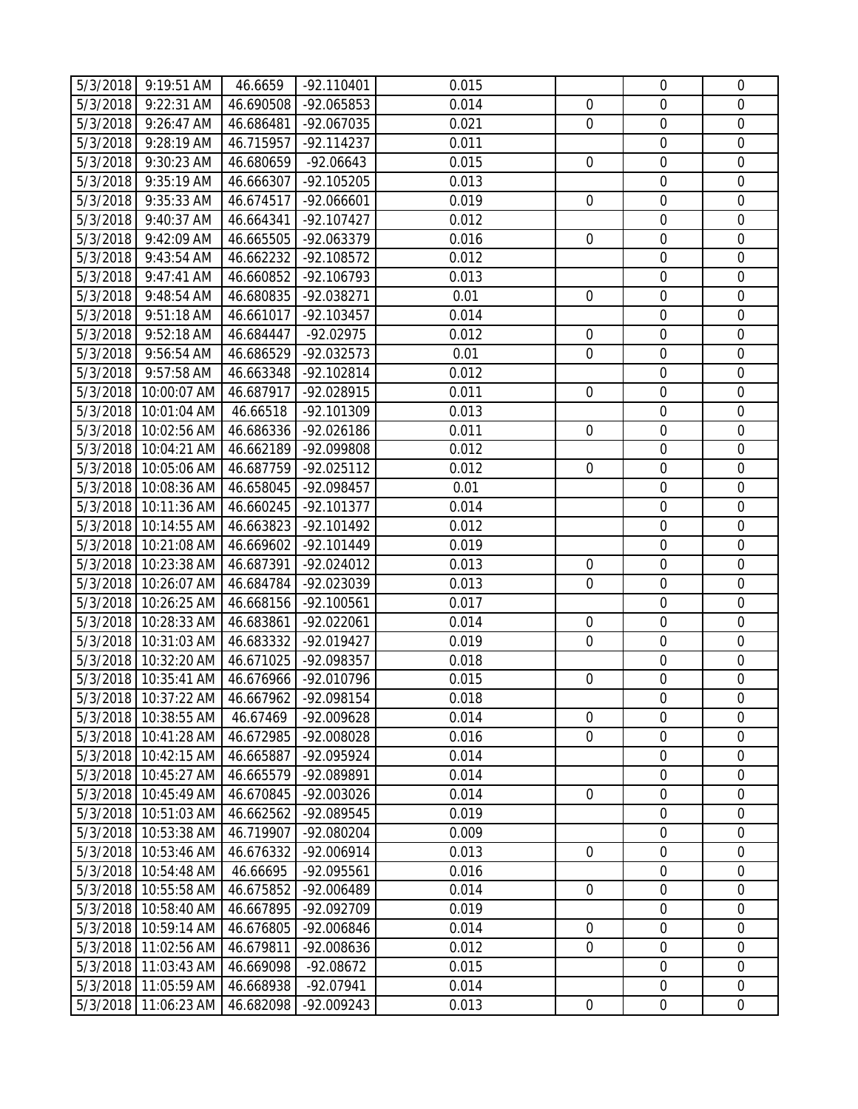|          | 5/3/2018 9:19:51 AM                       | 46.6659   | $-92.110401$ | 0.015 |                  | $\overline{0}$   | $\mathbf 0$      |
|----------|-------------------------------------------|-----------|--------------|-------|------------------|------------------|------------------|
| 5/3/2018 | 9:22:31 AM                                | 46.690508 | -92.065853   | 0.014 | $\mathbf 0$      | $\mathbf 0$      | $\overline{0}$   |
| 5/3/2018 | 9:26:47 AM                                | 46.686481 | -92.067035   | 0.021 | $\overline{0}$   | $\boldsymbol{0}$ | $\mathbf 0$      |
| 5/3/2018 | 9:28:19 AM                                | 46.715957 | $-92.114237$ | 0.011 |                  | $\boldsymbol{0}$ | $\mathbf 0$      |
| 5/3/2018 | 9:30:23 AM                                | 46.680659 | $-92.06643$  | 0.015 | $\mathbf 0$      | $\mathbf 0$      | $\mathbf 0$      |
| 5/3/2018 | 9:35:19 AM                                | 46.666307 | -92.105205   | 0.013 |                  | $\mathbf 0$      | $\mathbf 0$      |
| 5/3/2018 | 9:35:33 AM                                | 46.674517 | $-92.066601$ | 0.019 | $\mathbf 0$      | $\boldsymbol{0}$ | $\boldsymbol{0}$ |
| 5/3/2018 | 9:40:37 AM                                | 46.664341 | $-92.107427$ | 0.012 |                  | $\mathbf 0$      | $\mathbf 0$      |
| 5/3/2018 | 9:42:09 AM                                | 46.665505 | -92.063379   | 0.016 | $\overline{0}$   | $\mathbf 0$      | $\mathbf 0$      |
| 5/3/2018 | 9:43:54 AM                                | 46.662232 | -92.108572   | 0.012 |                  | $\boldsymbol{0}$ | $\mathbf 0$      |
| 5/3/2018 | 9:47:41 AM                                | 46.660852 | -92.106793   | 0.013 |                  | $\mathbf 0$      | $\boldsymbol{0}$ |
| 5/3/2018 | 9:48:54 AM                                | 46.680835 | -92.038271   | 0.01  | $\overline{0}$   | $\mathbf 0$      | $\mathbf 0$      |
| 5/3/2018 | 9:51:18 AM                                | 46.661017 | -92.103457   | 0.014 |                  | $\mathbf 0$      | $\mathbf 0$      |
| 5/3/2018 | 9:52:18 AM                                | 46.684447 | $-92.02975$  | 0.012 | $\mathbf 0$      | $\mathbf 0$      | $\mathbf 0$      |
| 5/3/2018 | 9:56:54 AM                                | 46.686529 | -92.032573   | 0.01  | $\overline{0}$   | $\mathbf 0$      | $\mathbf 0$      |
| 5/3/2018 | 9:57:58 AM                                | 46.663348 | -92.102814   | 0.012 |                  | $\mathbf 0$      | $\overline{0}$   |
| 5/3/2018 | 10:00:07 AM                               | 46.687917 | -92.028915   | 0.011 | $\overline{0}$   | $\boldsymbol{0}$ | $\mathbf 0$      |
|          | 5/3/2018 10:01:04 AM                      | 46.66518  | -92.101309   | 0.013 |                  | $\boldsymbol{0}$ | $\mathbf 0$      |
|          | 5/3/2018 10:02:56 AM                      | 46.686336 | -92.026186   | 0.011 | $\overline{0}$   | $\mathbf 0$      | $\mathbf 0$      |
|          | 5/3/2018 10:04:21 AM                      | 46.662189 | -92.099808   | 0.012 |                  | $\mathbf 0$      | $\mathbf 0$      |
|          | 5/3/2018 10:05:06 AM                      | 46.687759 | $-92.025112$ | 0.012 | $\overline{0}$   | $\mathbf 0$      | $\mathbf 0$      |
|          | 5/3/2018 10:08:36 AM                      | 46.658045 | -92.098457   | 0.01  |                  | $\overline{0}$   | $\mathbf 0$      |
|          | 5/3/2018 10:11:36 AM                      | 46.660245 | $-92.101377$ | 0.014 |                  | $\mathbf 0$      | $\mathbf 0$      |
|          | 5/3/2018 10:14:55 AM                      | 46.663823 | $-92.101492$ | 0.012 |                  | $\overline{0}$   | $\mathbf 0$      |
|          | 5/3/2018 10:21:08 AM                      | 46.669602 | -92.101449   | 0.019 |                  | $\boldsymbol{0}$ | $\mathbf 0$      |
|          | 5/3/2018 10:23:38 AM                      | 46.687391 | $-92.024012$ | 0.013 | $\overline{0}$   | $\boldsymbol{0}$ | $\mathbf 0$      |
|          | 5/3/2018 10:26:07 AM                      | 46.684784 | -92.023039   | 0.013 | $\overline{0}$   | $\mathbf 0$      | $\mathbf 0$      |
|          | 5/3/2018 10:26:25 AM                      | 46.668156 | $-92.100561$ | 0.017 |                  | $\mathbf 0$      | $\mathbf 0$      |
|          | 5/3/2018 10:28:33 AM                      | 46.683861 | -92.022061   | 0.014 | $\mathbf 0$      | $\mathbf 0$      | $\mathbf 0$      |
|          | 5/3/2018 10:31:03 AM                      | 46.683332 | -92.019427   | 0.019 | $\overline{0}$   | $\mathbf 0$      | $\mathbf 0$      |
|          | 5/3/2018 10:32:20 AM                      | 46.671025 | -92.098357   | 0.018 |                  | $\mathbf 0$      | $\mathbf 0$      |
| 5/3/2018 | 10:35:41 AM                               | 46.676966 | -92.010796   | 0.015 | $\overline{0}$   | $\mathbf 0$      | $\mathbf 0$      |
|          | 5/3/2018 10:37:22 AM 46.667962 -92.098154 |           |              | 0.018 |                  | $\boldsymbol{0}$ | $\overline{0}$   |
|          | 5/3/2018 10:38:55 AM                      | 46.67469  | -92.009628   | 0.014 | $\overline{0}$   | $\overline{0}$   | $\overline{0}$   |
| 5/3/2018 | 10:41:28 AM                               | 46.672985 | -92.008028   | 0.016 | $\mathbf 0$      | $\boldsymbol{0}$ | $\mathbf 0$      |
| 5/3/2018 | 10:42:15 AM                               | 46.665887 | -92.095924   | 0.014 |                  | $\overline{0}$   | $\mathbf 0$      |
|          | 5/3/2018 10:45:27 AM                      | 46.665579 | -92.089891   | 0.014 |                  | $\mathbf 0$      | $\overline{0}$   |
|          | 5/3/2018 10:45:49 AM                      | 46.670845 | -92.003026   | 0.014 | $\overline{0}$   | $\mathbf 0$      | $\mathbf 0$      |
| 5/3/2018 | 10:51:03 AM                               | 46.662562 | -92.089545   | 0.019 |                  | $\boldsymbol{0}$ | $\mathbf 0$      |
|          | 5/3/2018 10:53:38 AM                      | 46.719907 | -92.080204   | 0.009 |                  | $\boldsymbol{0}$ | $\mathbf 0$      |
| 5/3/2018 | 10:53:46 AM                               | 46.676332 | -92.006914   | 0.013 | $\overline{0}$   | $\mathbf 0$      | $\mathbf 0$      |
| 5/3/2018 | 10:54:48 AM                               | 46.66695  | -92.095561   | 0.016 |                  | $\boldsymbol{0}$ | $\boldsymbol{0}$ |
| 5/3/2018 | 10:55:58 AM                               | 46.675852 | -92.006489   | 0.014 | $\mathbf 0$      | $\mathbf 0$      | $\mathbf 0$      |
|          | 5/3/2018 10:58:40 AM                      | 46.667895 | -92.092709   | 0.019 |                  | $\mathbf 0$      | $\overline{0}$   |
| 5/3/2018 | 10:59:14 AM                               | 46.676805 | -92.006846   | 0.014 | $\mathbf 0$      | $\mathbf 0$      | $\mathbf 0$      |
| 5/3/2018 | 11:02:56 AM                               | 46.679811 | -92.008636   | 0.012 | $\mathbf 0$      | $\boldsymbol{0}$ | $\mathbf 0$      |
| 5/3/2018 | 11:03:43 AM                               | 46.669098 | $-92.08672$  | 0.015 |                  | $\boldsymbol{0}$ | $\mathbf 0$      |
| 5/3/2018 | 11:05:59 AM                               | 46.668938 | -92.07941    | 0.014 |                  | $\mathbf 0$      | $\overline{0}$   |
| 5/3/2018 | 11:06:23 AM                               | 46.682098 | -92.009243   | 0.013 | $\boldsymbol{0}$ | $\overline{0}$   | $\boldsymbol{0}$ |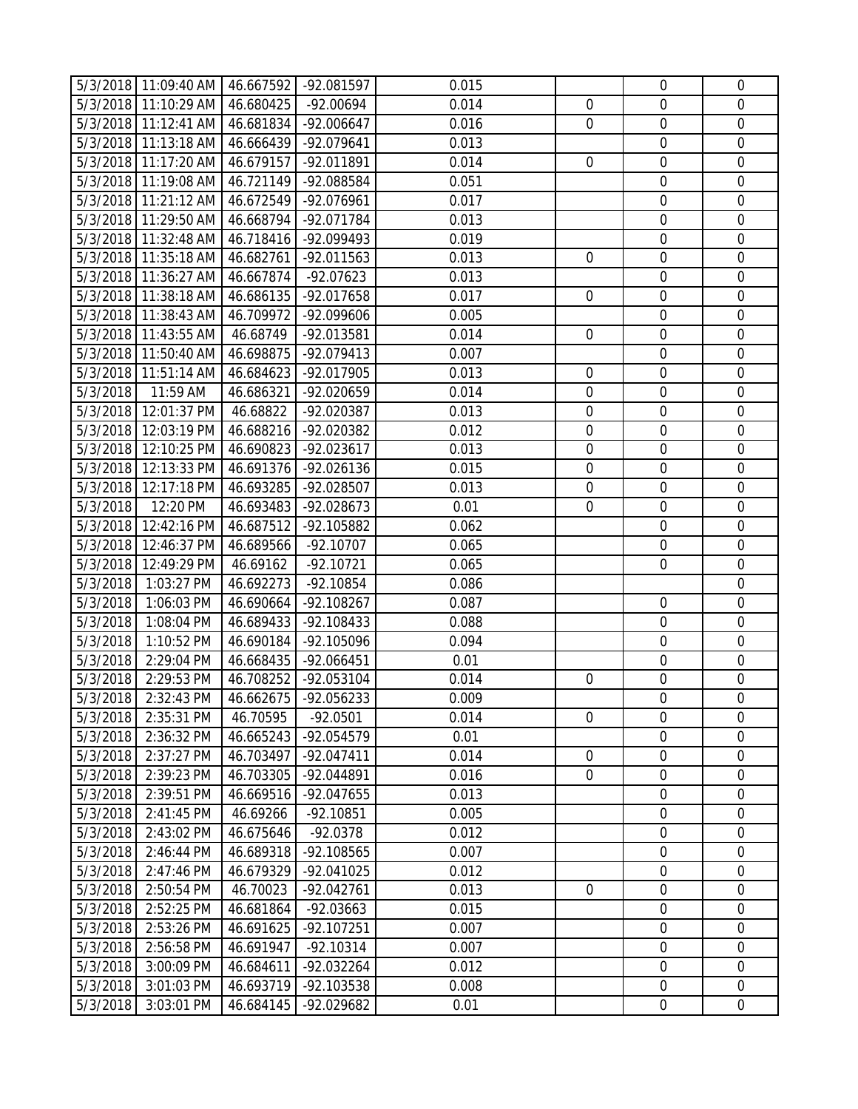|          | 5/3/2018 11:09:40 AM 46.667592 -92.081597 |           |                      | 0.015 |                | $\overline{0}$   | $\overline{0}$   |
|----------|-------------------------------------------|-----------|----------------------|-------|----------------|------------------|------------------|
|          | 5/3/2018 11:10:29 AM                      | 46.680425 | -92.00694            | 0.014 | $\overline{0}$ | $\overline{0}$   | $\mathbf{0}$     |
|          | 5/3/2018 11:12:41 AM                      | 46.681834 | $-92.006647$         | 0.016 | $\mathbf 0$    | $\overline{0}$   | $\mathbf 0$      |
|          | 5/3/2018 11:13:18 AM                      | 46.666439 | -92.079641           | 0.013 |                | $\boldsymbol{0}$ | $\mathbf 0$      |
|          | 5/3/2018 11:17:20 AM                      | 46.679157 | -92.011891           | 0.014 | $\mathbf 0$    | $\mathbf 0$      | $\mathbf 0$      |
|          | 5/3/2018 11:19:08 AM                      | 46.721149 | -92.088584           | 0.051 |                | $\mathbf 0$      | $\mathbf 0$      |
|          | 5/3/2018 11:21:12 AM                      | 46.672549 | -92.076961           | 0.017 |                | $\boldsymbol{0}$ | $\mathbf 0$      |
|          | 5/3/2018 11:29:50 AM                      | 46.668794 | -92.071784           | 0.013 |                | $\mathbf 0$      | $\mathbf 0$      |
|          | 5/3/2018 11:32:48 AM                      | 46.718416 | -92.099493           | 0.019 |                | $\mathbf 0$      | $\mathbf 0$      |
|          | 5/3/2018 11:35:18 AM                      | 46.682761 | -92.011563           | 0.013 | $\overline{0}$ | $\overline{0}$   | $\mathbf 0$      |
|          | 5/3/2018 11:36:27 AM                      | 46.667874 | $-92.07623$          | 0.013 |                | $\boldsymbol{0}$ | $\mathbf 0$      |
|          | 5/3/2018 11:38:18 AM                      | 46.686135 | -92.017658           | 0.017 | $\overline{0}$ | $\overline{0}$   | $\mathbf 0$      |
|          | 5/3/2018 11:38:43 AM                      | 46.709972 | -92.099606           | 0.005 |                | $\mathbf 0$      | $\mathbf 0$      |
|          | 5/3/2018 11:43:55 AM                      | 46.68749  | -92.013581           | 0.014 | $\mathbf 0$    | $\mathbf 0$      | $\mathbf 0$      |
|          | 5/3/2018 11:50:40 AM                      | 46.698875 | -92.079413           | 0.007 |                | $\mathbf 0$      | $\mathbf 0$      |
|          | 5/3/2018 11:51:14 AM                      | 46.684623 | -92.017905           | 0.013 | $\mathbf 0$    | $\mathbf 0$      | $\mathbf 0$      |
| 5/3/2018 | 11:59 AM                                  | 46.686321 | -92.020659           | 0.014 | $\mathbf 0$    | $\boldsymbol{0}$ | $\mathbf 0$      |
| 5/3/2018 | 12:01:37 PM                               | 46.68822  | -92.020387           | 0.013 | $\mathbf 0$    | $\mathbf 0$      | $\mathbf 0$      |
|          | 5/3/2018 12:03:19 PM                      | 46.688216 | -92.020382           | 0.012 | $\mathbf 0$    | $\mathbf 0$      | $\mathbf 0$      |
|          | 5/3/2018 12:10:25 PM                      | 46.690823 | $-92.023617$         | 0.013 | $\mathbf 0$    | $\mathbf 0$      | $\mathbf 0$      |
|          | 5/3/2018 12:13:33 PM                      | 46.691376 | -92.026136           | 0.015 | $\mathbf 0$    | $\boldsymbol{0}$ | $\boldsymbol{0}$ |
|          | 5/3/2018 12:17:18 PM                      | 46.693285 | -92.028507           | 0.013 | $\mathbf 0$    | $\overline{0}$   | $\mathbf 0$      |
| 5/3/2018 | 12:20 PM                                  | 46.693483 | -92.028673           | 0.01  | $\overline{0}$ | $\mathbf 0$      | $\mathbf 0$      |
| 5/3/2018 | 12:42:16 PM                               | 46.687512 | -92.105882           | 0.062 |                | $\overline{0}$   | $\mathbf 0$      |
| 5/3/2018 | 12:46:37 PM                               | 46.689566 | $-92.10707$          | 0.065 |                | $\overline{0}$   | $\mathbf 0$      |
|          | 5/3/2018 12:49:29 PM                      | 46.69162  | $-92.10721$          | 0.065 |                | $\mathbf 0$      | $\mathbf 0$      |
| 5/3/2018 | 1:03:27 PM                                | 46.692273 | $-92.10854$          | 0.086 |                |                  | $\mathbf 0$      |
| 5/3/2018 | 1:06:03 PM                                | 46.690664 | $-92.108267$         | 0.087 |                | $\overline{0}$   | $\boldsymbol{0}$ |
| 5/3/2018 | 1:08:04 PM                                | 46.689433 | -92.108433           | 0.088 |                | $\overline{0}$   | $\mathbf 0$      |
| 5/3/2018 | 1:10:52 PM                                | 46.690184 | -92.105096           | 0.094 |                | $\mathbf 0$      | $\mathbf 0$      |
| 5/3/2018 | 2:29:04 PM                                | 46.668435 | -92.066451           | 0.01  |                | $\overline{0}$   | $\mathbf 0$      |
| 5/3/2018 | 2:29:53 PM                                | 46.708252 | -92.053104           | 0.014 | $\mathbf 0$    | $\mathbf 0$      | $\mathbf 0$      |
|          | 5/3/2018 2:32:43 PM                       |           | 46.662675 -92.056233 | 0.009 |                | $\overline{0}$   | $\overline{0}$   |
| 5/3/2018 | 2:35:31 PM                                | 46.70595  | $-92.0501$           | 0.014 | $\overline{0}$ | $\overline{0}$   | $\overline{0}$   |
| 5/3/2018 | 2:36:32 PM                                | 46.665243 | -92.054579           | 0.01  |                | $\boldsymbol{0}$ | $\mathbf 0$      |
| 5/3/2018 | 2:37:27 PM                                | 46.703497 | $-92.047411$         | 0.014 | $\mathbf 0$    | $\boldsymbol{0}$ | $\mathbf 0$      |
| 5/3/2018 | 2:39:23 PM                                | 46.703305 | -92.044891           | 0.016 | $\mathbf 0$    | $\mathbf 0$      | $\mathbf 0$      |
| 5/3/2018 | 2:39:51 PM                                | 46.669516 | -92.047655           | 0.013 |                | $\mathbf 0$      | $\mathbf 0$      |
| 5/3/2018 | 2:41:45 PM                                | 46.69266  | $-92.10851$          | 0.005 |                | $\mathbf 0$      | $\mathbf 0$      |
| 5/3/2018 | 2:43:02 PM                                | 46.675646 | $-92.0378$           | 0.012 |                | $\mathbf 0$      | $\mathbf 0$      |
| 5/3/2018 | 2:46:44 PM                                | 46.689318 | -92.108565           | 0.007 |                | $\mathbf 0$      | $\mathbf 0$      |
| 5/3/2018 | 2:47:46 PM                                | 46.679329 | -92.041025           | 0.012 |                | $\boldsymbol{0}$ | $\mathbf 0$      |
| 5/3/2018 | 2:50:54 PM                                | 46.70023  | $-92.042761$         | 0.013 | $\mathbf 0$    | $\boldsymbol{0}$ | $\mathbf 0$      |
| 5/3/2018 | 2:52:25 PM                                | 46.681864 | $-92.03663$          | 0.015 |                | $\mathbf 0$      | $\mathbf 0$      |
| 5/3/2018 | 2:53:26 PM                                | 46.691625 | -92.107251           | 0.007 |                | $\mathbf 0$      | $\mathbf 0$      |
| 5/3/2018 | 2:56:58 PM                                | 46.691947 | $-92.10314$          | 0.007 |                | $\boldsymbol{0}$ | $\mathbf 0$      |
| 5/3/2018 | 3:00:09 PM                                | 46.684611 | -92.032264           | 0.012 |                | $\mathbf 0$      | $\mathbf 0$      |
| 5/3/2018 | 3:01:03 PM                                | 46.693719 | -92.103538           | 0.008 |                | $\boldsymbol{0}$ | $\mathbf 0$      |
| 5/3/2018 | 3:03:01 PM                                | 46.684145 | -92.029682           | 0.01  |                | $\boldsymbol{0}$ | $\overline{0}$   |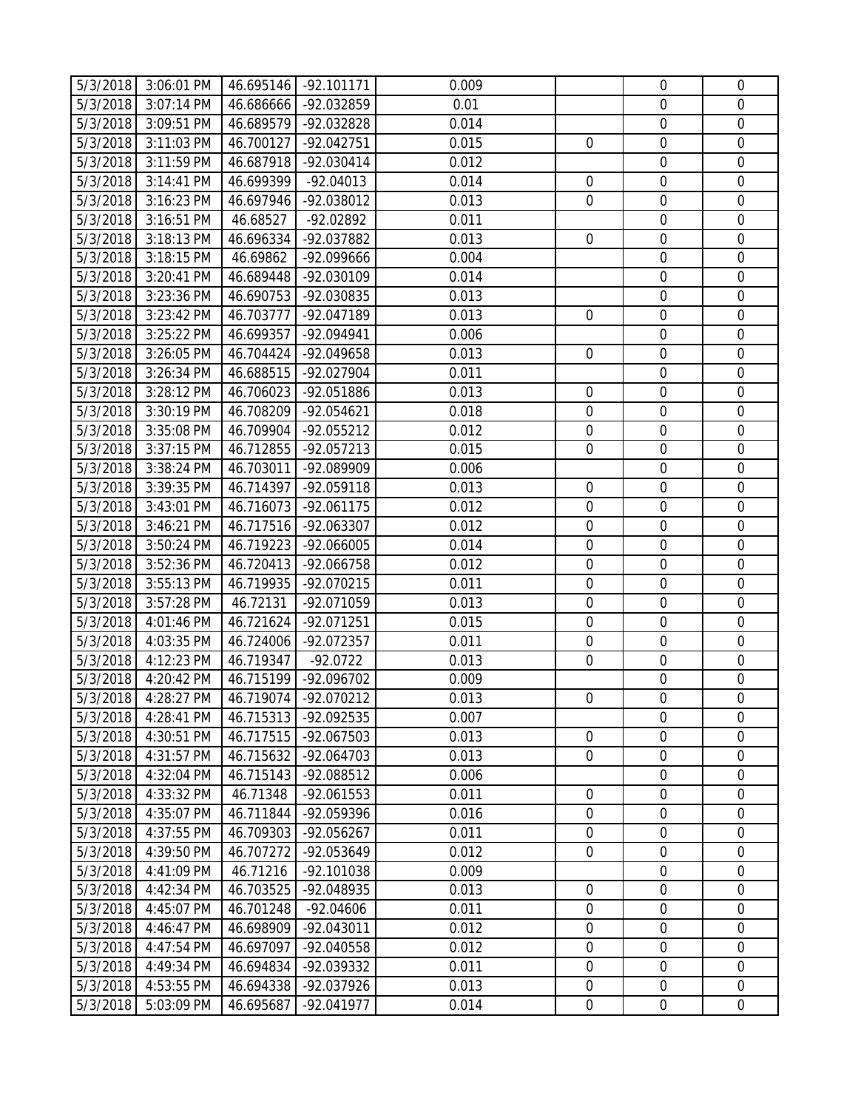|          | 5/3/2018 3:06:01 PM |           | 46.695146 -92.101171 | 0.009 |                  | $\overline{0}$   | $\overline{0}$   |
|----------|---------------------|-----------|----------------------|-------|------------------|------------------|------------------|
| 5/3/2018 | 3:07:14 PM          | 46.686666 | -92.032859           | 0.01  |                  | $\overline{0}$   | $\overline{0}$   |
| 5/3/2018 | 3:09:51 PM          | 46.689579 | -92.032828           | 0.014 |                  | $\boldsymbol{0}$ | $\mathbf 0$      |
| 5/3/2018 | 3:11:03 PM          | 46.700127 | -92.042751           | 0.015 | $\overline{0}$   | $\boldsymbol{0}$ | $\mathbf 0$      |
| 5/3/2018 | 3:11:59 PM          | 46.687918 | $-92.030414$         | 0.012 |                  | $\mathbf 0$      | $\mathbf 0$      |
| 5/3/2018 | 3:14:41 PM          | 46.699399 | $-92.04013$          | 0.014 | $\mathbf 0$      | $\mathbf 0$      | $\mathbf 0$      |
| 5/3/2018 | 3:16:23 PM          | 46.697946 | -92.038012           | 0.013 | $\mathbf 0$      | $\boldsymbol{0}$ | $\boldsymbol{0}$ |
| 5/3/2018 | 3:16:51 PM          | 46.68527  | -92.02892            | 0.011 |                  | $\mathbf 0$      | $\mathbf 0$      |
| 5/3/2018 | 3:18:13 PM          | 46.696334 | -92.037882           | 0.013 | $\mathbf 0$      | $\mathbf 0$      | $\mathbf 0$      |
| 5/3/2018 | 3:18:15 PM          | 46.69862  | -92.099666           | 0.004 |                  | $\boldsymbol{0}$ | $\boldsymbol{0}$ |
| 5/3/2018 | 3:20:41 PM          | 46.689448 | -92.030109           | 0.014 |                  | $\boldsymbol{0}$ | $\boldsymbol{0}$ |
| 5/3/2018 | 3:23:36 PM          | 46.690753 | -92.030835           | 0.013 |                  | $\mathbf 0$      | $\mathbf 0$      |
| 5/3/2018 | 3:23:42 PM          | 46.703777 | -92.047189           | 0.013 | $\overline{0}$   | $\mathbf 0$      | $\mathbf 0$      |
| 5/3/2018 | 3:25:22 PM          | 46.699357 | -92.094941           | 0.006 |                  | $\boldsymbol{0}$ | $\mathbf 0$      |
| 5/3/2018 | 3:26:05 PM          | 46.704424 | -92.049658           | 0.013 | $\overline{0}$   | $\boldsymbol{0}$ | $\boldsymbol{0}$ |
| 5/3/2018 | 3:26:34 PM          | 46.688515 | -92.027904           | 0.011 |                  | $\mathbf 0$      | $\overline{0}$   |
| 5/3/2018 | 3:28:12 PM          | 46.706023 | -92.051886           | 0.013 | $\overline{0}$   | $\boldsymbol{0}$ | $\mathbf 0$      |
| 5/3/2018 | 3:30:19 PM          | 46.708209 | $-92.054621$         | 0.018 | $\mathbf 0$      | $\boldsymbol{0}$ | $\mathbf 0$      |
| 5/3/2018 | 3:35:08 PM          | 46.709904 | -92.055212           | 0.012 | $\mathbf 0$      | $\mathbf 0$      | $\mathbf 0$      |
| 5/3/2018 | 3:37:15 PM          | 46.712855 | $-92.057213$         | 0.015 | $\mathbf 0$      | $\overline{0}$   | $\mathbf 0$      |
| 5/3/2018 | 3:38:24 PM          | 46.703011 | -92.089909           | 0.006 |                  | $\boldsymbol{0}$ | $\mathbf 0$      |
| 5/3/2018 | 3:39:35 PM          | 46.714397 | -92.059118           | 0.013 | $\mathbf 0$      | $\mathbf 0$      | $\mathbf 0$      |
| 5/3/2018 | 3:43:01 PM          | 46.716073 | $-92.061175$         | 0.012 | $\mathbf 0$      | $\mathbf 0$      | $\mathbf 0$      |
| 5/3/2018 | 3:46:21 PM          | 46.717516 | -92.063307           | 0.012 | $\mathbf 0$      | $\overline{0}$   | $\mathbf 0$      |
| 5/3/2018 | 3:50:24 PM          | 46.719223 | -92.066005           | 0.014 | $\mathbf 0$      | $\boldsymbol{0}$ | $\mathbf 0$      |
| 5/3/2018 | 3:52:36 PM          | 46.720413 | -92.066758           | 0.012 | $\mathbf 0$      | $\boldsymbol{0}$ | $\mathbf 0$      |
| 5/3/2018 | 3:55:13 PM          | 46.719935 | -92.070215           | 0.011 | $\mathbf 0$      | $\boldsymbol{0}$ | $\mathbf 0$      |
| 5/3/2018 | $3:57:28$ PM        | 46.72131  | -92.071059           | 0.013 | $\mathbf 0$      | $\boldsymbol{0}$ | $\mathbf 0$      |
| 5/3/2018 | 4:01:46 PM          | 46.721624 | -92.071251           | 0.015 | $\mathbf 0$      | $\mathbf 0$      | $\mathbf 0$      |
| 5/3/2018 | 4:03:35 PM          | 46.724006 | -92.072357           | 0.011 | $\mathbf 0$      | $\mathbf 0$      | $\mathbf 0$      |
| 5/3/2018 | 4:12:23 PM          | 46.719347 | $-92.0722$           | 0.013 | $\overline{0}$   | $\overline{0}$   | $\mathbf 0$      |
| 5/3/2018 | 4:20:42 PM          | 46.715199 | -92.096702           | 0.009 |                  | $\mathbf 0$      | $\mathbf 0$      |
|          | 5/3/2018 4:28:27 PM |           | 46.719074 -92.070212 | 0.013 | $\overline{0}$   | $\boldsymbol{0}$ | $\overline{0}$   |
| 5/3/2018 | 4:28:41 PM          | 46.715313 | -92.092535           | 0.007 |                  | $\overline{0}$   | $\overline{0}$   |
| 5/3/2018 | 4:30:51 PM          | 46.717515 | -92.067503           | 0.013 | $\mathbf 0$      | $\boldsymbol{0}$ | $\boldsymbol{0}$ |
| 5/3/2018 | 4:31:57 PM          | 46.715632 | -92.064703           | 0.013 | $\mathbf 0$      | $\mathbf 0$      | $\mathbf 0$      |
| 5/3/2018 | 4:32:04 PM          | 46.715143 | -92.088512           | 0.006 |                  | $\mathbf 0$      | $\overline{0}$   |
| 5/3/2018 | 4:33:32 PM          | 46.71348  | $-92.061553$         | 0.011 | $\mathbf 0$      | $\mathbf 0$      | $\mathbf 0$      |
| 5/3/2018 | 4:35:07 PM          | 46.711844 | -92.059396           | 0.016 | $\mathbf 0$      | $\boldsymbol{0}$ | $\mathbf 0$      |
| 5/3/2018 | 4:37:55 PM          | 46.709303 | -92.056267           | 0.011 | $\overline{0}$   | $\mathbf 0$      | $\mathbf 0$      |
| 5/3/2018 | 4:39:50 PM          | 46.707272 | -92.053649           | 0.012 | $\overline{0}$   | $\mathbf 0$      | $\mathbf 0$      |
| 5/3/2018 | 4:41:09 PM          | 46.71216  | -92.101038           | 0.009 |                  | $\boldsymbol{0}$ | $\boldsymbol{0}$ |
| 5/3/2018 | 4:42:34 PM          | 46.703525 | -92.048935           | 0.013 | $\mathbf 0$      | $\mathbf 0$      | $\mathbf 0$      |
| 5/3/2018 | 4:45:07 PM          | 46.701248 | $-92.04606$          | 0.011 | $\overline{0}$   | $\mathbf 0$      | $\overline{0}$   |
| 5/3/2018 | 4:46:47 PM          | 46.698909 | $-92.043011$         | 0.012 | $\mathbf 0$      | $\mathbf 0$      | $\mathbf 0$      |
| 5/3/2018 | 4:47:54 PM          | 46.697097 | -92.040558           | 0.012 | $\mathbf 0$      | $\boldsymbol{0}$ | $\mathbf 0$      |
| 5/3/2018 | 4:49:34 PM          | 46.694834 | -92.039332           | 0.011 | $\overline{0}$   | $\mathbf 0$      | $\mathbf 0$      |
| 5/3/2018 | 4:53:55 PM          | 46.694338 | -92.037926           | 0.013 | $\mathbf 0$      | $\overline{0}$   | $\overline{0}$   |
| 5/3/2018 | 5:03:09 PM          | 46.695687 | -92.041977           | 0.014 | $\boldsymbol{0}$ | $\overline{0}$   | $\boldsymbol{0}$ |
|          |                     |           |                      |       |                  |                  |                  |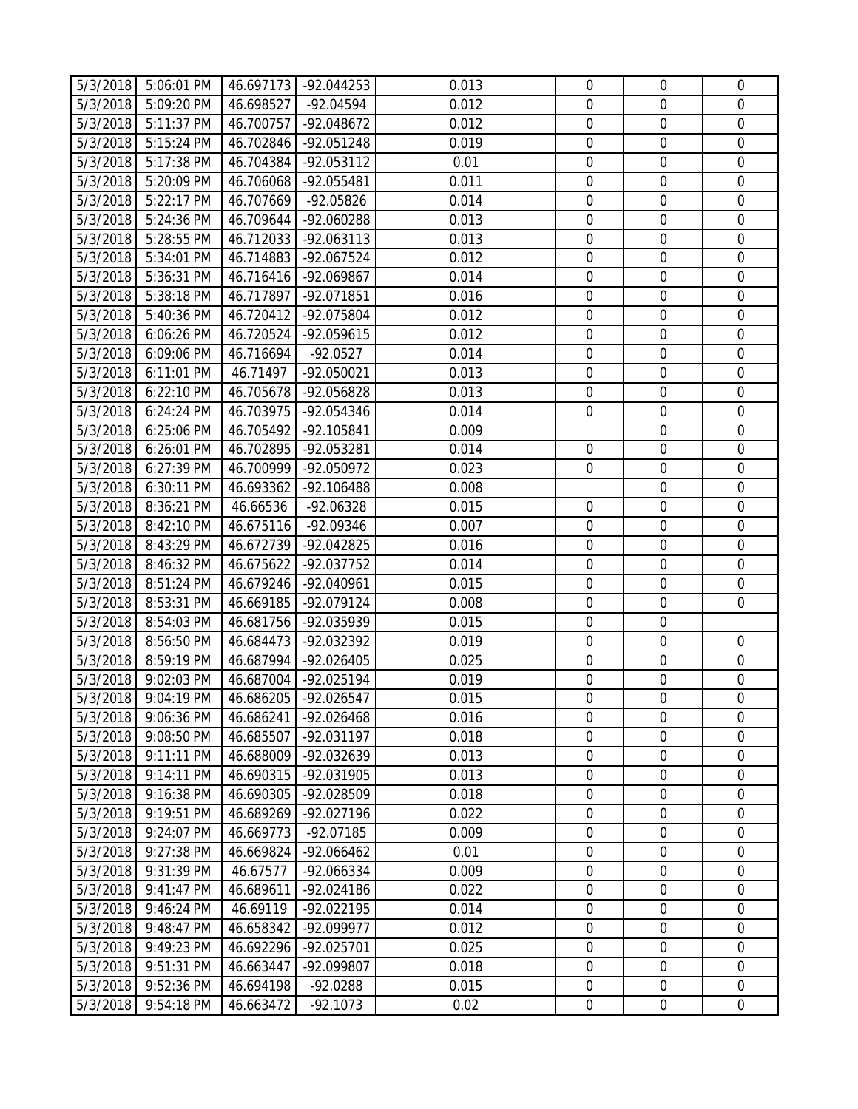|                      | 5/3/2018 5:06:01 PM      |                        | 46.697173 -92.044253     | 0.013          | $\mathbf 0$                     | $\overline{0}$                  | $\mathbf 0$                |
|----------------------|--------------------------|------------------------|--------------------------|----------------|---------------------------------|---------------------------------|----------------------------|
| 5/3/2018             | 5:09:20 PM               | 46.698527              | -92.04594                | 0.012          | $\overline{0}$                  | $\overline{0}$                  | $\mathbf{0}$               |
| 5/3/2018             | 5:11:37 PM               | 46.700757              | -92.048672               | 0.012          | $\overline{0}$                  | $\overline{0}$                  | $\mathbf 0$                |
| 5/3/2018             | 5:15:24 PM               | 46.702846              | -92.051248               | 0.019          | $\boldsymbol{0}$                | $\boldsymbol{0}$                | $\mathbf 0$                |
| 5/3/2018             | 5:17:38 PM               | 46.704384              | $-92.053112$             | 0.01           | $\mathbf 0$                     | $\mathbf 0$                     | $\mathbf 0$                |
| 5/3/2018             | 5:20:09 PM               | 46.706068              | -92.055481               | 0.011          | $\mathbf 0$                     | $\mathbf 0$                     | $\mathbf 0$                |
| 5/3/2018             | 5:22:17 PM               | 46.707669              | $-92.05826$              | 0.014          | $\mathbf 0$                     | $\boldsymbol{0}$                | $\mathbf 0$                |
| 5/3/2018             | 5:24:36 PM               | 46.709644              | -92.060288               | 0.013          | $\mathbf 0$                     | $\mathbf 0$                     | $\mathbf 0$                |
| 5/3/2018             | 5:28:55 PM               | 46.712033              | $-92.063113$             | 0.013          | $\mathbf 0$                     | $\mathbf 0$                     | $\mathbf 0$                |
| 5/3/2018             | 5:34:01 PM               | 46.714883              | -92.067524               | 0.012          | $\overline{0}$                  | $\mathbf 0$                     | $\mathbf 0$                |
| 5/3/2018             | 5:36:31 PM               | 46.716416              | -92.069867               | 0.014          | $\mathbf 0$                     | $\boldsymbol{0}$                | $\mathbf 0$                |
| 5/3/2018             | 5:38:18 PM               | 46.717897              | -92.071851               | 0.016          | $\mathbf 0$                     | $\boldsymbol{0}$                | $\mathbf 0$                |
| 5/3/2018             | 5:40:36 PM               | 46.720412              | -92.075804               | 0.012          | $\mathbf 0$                     | $\mathbf 0$                     | $\mathbf 0$                |
| 5/3/2018             | 6:06:26 PM               | 46.720524              | -92.059615               | 0.012          | $\mathbf 0$                     | $\mathbf 0$                     | $\mathbf 0$                |
| 5/3/2018             | 6:09:06 PM               | 46.716694              | $-92.0527$               | 0.014          | $\mathbf 0$                     | $\mathbf 0$                     | $\mathbf 0$                |
| 5/3/2018             | 6:11:01 PM               | 46.71497               | $-92.050021$             | 0.013          | $\mathbf 0$                     | $\mathbf 0$                     | $\mathbf 0$                |
| 5/3/2018             | 6:22:10 PM               | 46.705678              | -92.056828               | 0.013          | $\mathbf 0$                     | $\boldsymbol{0}$                | $\mathbf 0$                |
| 5/3/2018             | 6:24:24 PM               | 46.703975              | -92.054346               | 0.014          | $\overline{0}$                  | $\mathbf 0$                     | $\mathbf 0$                |
| 5/3/2018             | 6:25:06 PM               | 46.705492              | -92.105841               | 0.009          |                                 | $\mathbf 0$                     | $\mathbf 0$                |
| 5/3/2018             | 6:26:01 PM               | 46.702895              | -92.053281               | 0.014          | $\overline{0}$                  | $\mathbf 0$                     | $\mathbf 0$                |
| 5/3/2018             | 6:27:39 PM               | 46.700999              | -92.050972               | 0.023          | $\mathbf 0$                     | $\boldsymbol{0}$                | $\boldsymbol{0}$           |
| 5/3/2018             | 6:30:11 PM               | 46.693362              | -92.106488               | 0.008          |                                 | $\mathbf 0$                     | $\mathbf 0$                |
| 5/3/2018             | 8:36:21 PM               | 46.66536               | $-92.06328$              | 0.015          | $\mathbf 0$                     | $\mathbf 0$                     | $\mathbf 0$                |
| 5/3/2018             | 8:42:10 PM               | 46.675116              | -92.09346                | 0.007          | $\mathbf 0$                     | $\overline{0}$                  | $\mathbf 0$                |
| 5/3/2018             | 8:43:29 PM               | 46.672739              | -92.042825               | 0.016          | $\mathbf 0$                     | $\boldsymbol{0}$                | $\mathbf 0$                |
| 5/3/2018             | 8:46:32 PM               | 46.675622              | -92.037752               | 0.014          | $\mathbf 0$                     | $\overline{0}$                  | $\mathbf 0$                |
| 5/3/2018             | 8:51:24 PM               | 46.679246              | -92.040961               | 0.015          | $\mathbf 0$                     | $\mathbf 0$                     | $\mathbf 0$                |
| 5/3/2018             | 8:53:31 PM               | 46.669185              | -92.079124               | 0.008          | $\boldsymbol{0}$                | $\boldsymbol{0}$                | $\mathbf 0$                |
| 5/3/2018             | 8:54:03 PM               | 46.681756              | -92.035939               | 0.015          | $\mathbf 0$                     | $\mathbf 0$                     |                            |
| 5/3/2018             | 8:56:50 PM               | 46.684473              | -92.032392               | 0.019          | $\mathbf 0$                     | $\overline{0}$                  | $\mathbf 0$                |
| 5/3/2018             | 8:59:19 PM               | 46.687994              | -92.026405               | 0.025          | $\mathbf 0$                     | $\mathbf 0$                     | $\mathbf 0$                |
| 5/3/2018             | 9:02:03 PM               | 46.687004              | -92.025194               | 0.019          | $\mathbf 0$                     | $\boldsymbol{0}$                | $\mathbf 0$                |
|                      | 5/3/2018 9:04:19 PM      |                        | 46.686205 -92.026547     | 0.015          | $\overline{0}$                  | $\mathbf 0$                     | $\overline{0}$             |
| 5/3/2018             | 9:06:36 PM               | 46.686241              | -92.026468               | 0.016          | $\overline{0}$                  | $\overline{0}$                  | $\overline{0}$             |
| 5/3/2018             | 9:08:50 PM               | 46.685507              | -92.031197               | 0.018          | $\mathbf 0$                     | $\boldsymbol{0}$                | $\mathbf 0$                |
| 5/3/2018             | 9:11:11 PM               | 46.688009              | -92.032639               | 0.013          | $\boldsymbol{0}$<br>$\mathbf 0$ | $\boldsymbol{0}$<br>$\mathbf 0$ | $\mathbf 0$<br>$\mathbf 0$ |
| 5/3/2018<br>5/3/2018 | 9:14:11 PM<br>9:16:38 PM | 46.690315<br>46.690305 | -92.031905<br>-92.028509 | 0.013<br>0.018 | $\mathbf 0$                     | $\mathbf 0$                     | $\mathbf 0$                |
| 5/3/2018             | 9:19:51 PM               | 46.689269              | -92.027196               | 0.022          | $\mathbf 0$                     | $\boldsymbol{0}$                | $\mathbf 0$                |
| 5/3/2018             | 9:24:07 PM               | 46.669773              | $-92.07185$              | 0.009          | $\mathbf 0$                     | $\mathbf 0$                     | $\mathbf 0$                |
| 5/3/2018             | 9:27:38 PM               | 46.669824              | -92.066462               | 0.01           | $\mathbf 0$                     | $\mathbf 0$                     | $\mathbf 0$                |
| 5/3/2018             | 9:31:39 PM               | 46.67577               | -92.066334               | 0.009          | $\mathbf 0$                     | $\boldsymbol{0}$                | $\mathbf 0$                |
| 5/3/2018             | 9:41:47 PM               | 46.689611              | -92.024186               | 0.022          | $\mathbf 0$                     | $\boldsymbol{0}$                | $\mathbf 0$                |
| 5/3/2018             | 9:46:24 PM               | 46.69119               | -92.022195               | 0.014          | $\mathbf 0$                     | $\boldsymbol{0}$                | $\mathbf 0$                |
| 5/3/2018             | 9:48:47 PM               | 46.658342              | -92.099977               | 0.012          | $\mathbf 0$                     | $\boldsymbol{0}$                | $\mathbf 0$                |
| 5/3/2018             | 9:49:23 PM               | 46.692296              | -92.025701               | 0.025          | $\mathbf 0$                     | $\boldsymbol{0}$                | $\mathbf 0$                |
| 5/3/2018             | 9:51:31 PM               | 46.663447              | -92.099807               | 0.018          | $\mathbf 0$                     | $\mathbf 0$                     | $\mathbf 0$                |
| 5/3/2018             | 9:52:36 PM               | 46.694198              | $-92.0288$               | 0.015          | $\mathbf 0$                     | $\boldsymbol{0}$                | $\mathbf 0$                |
| 5/3/2018             | 9:54:18 PM               | 46.663472              | $-92.1073$               | 0.02           | $\overline{0}$                  | $\boldsymbol{0}$                | $\overline{0}$             |
|                      |                          |                        |                          |                |                                 |                                 |                            |